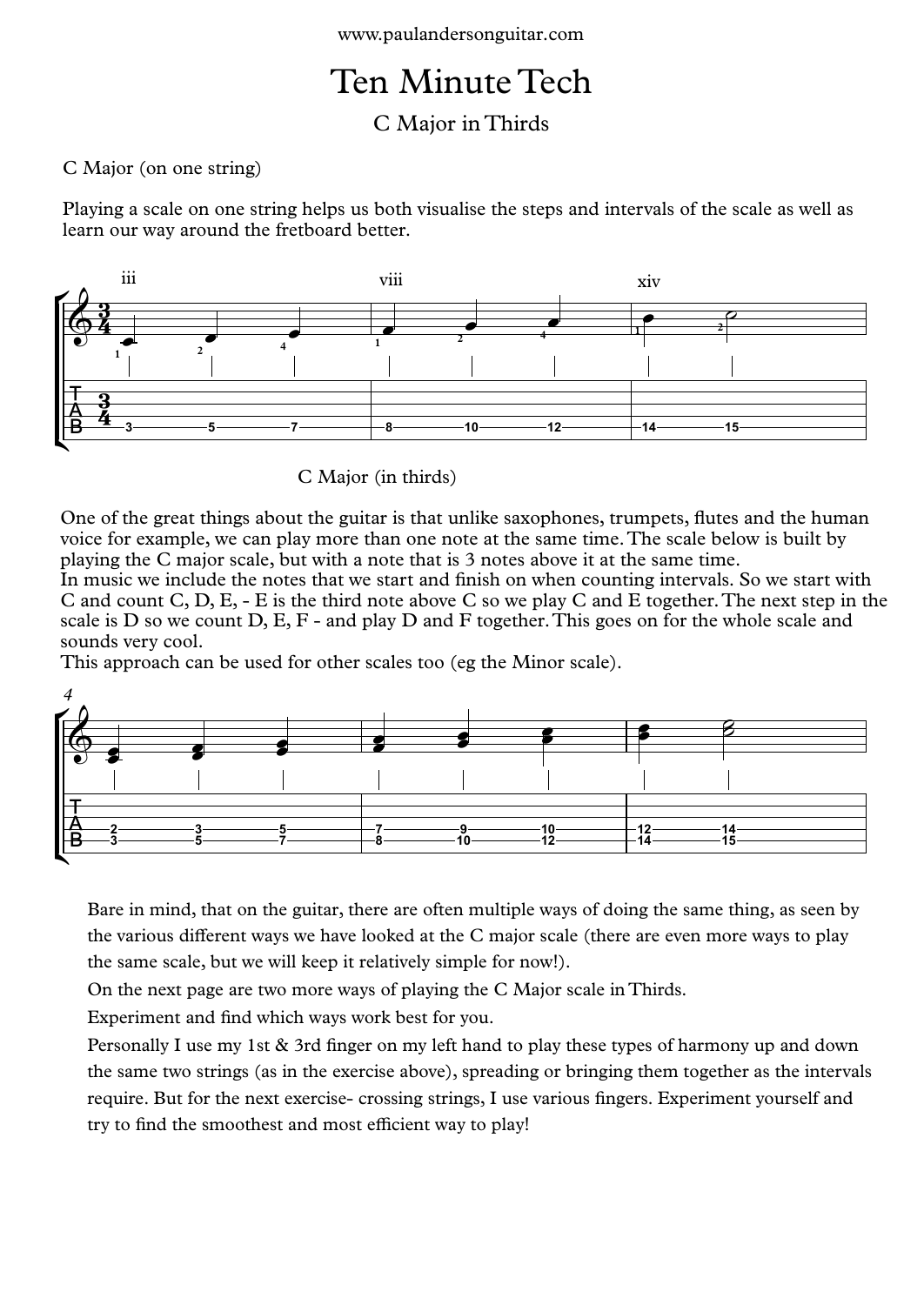## Ten Minute Tech

## C Major in Thirds

## C Major (on one string)

Playing a scale on one string helps us both visualise the steps and intervals of the scale as well as learn our way around the fretboard better.



C Major (in thirds)

One of the great things about the guitar is that unlike saxophones, trumpets, flutes and the human voice for example, we can play more than one note at the same time.The scale below is built by playing the C major scale, but with a note that is 3 notes above it at the same time.

In music we include the notes that we start and finish on when counting intervals. So we start with C and count C, D, E, - E is the third note above C so we play C and E together.The next step in the scale is D so we count D, E, F - and play D and F together.This goes on for the whole scale and sounds very cool.

This approach can be used for other scales too (eg the Minor scale).



Bare in mind, that on the guitar, there are often multiple ways of doing the same thing, as seen by the various different ways we have looked at the C major scale (there are even more ways to play the same scale, but we will keep it relatively simple for now!).

On the next page are two more ways of playing the C Major scale in Thirds.

Experiment and find which ways work best for you.

Personally I use my 1st & 3rd finger on my left hand to play these types of harmony up and down the same two strings (as in the exercise above), spreading or bringing them together as the intervals require. But for the next exercise- crossing strings, I use various fingers. Experiment yourself and try to find the smoothest and most efficient way to play!